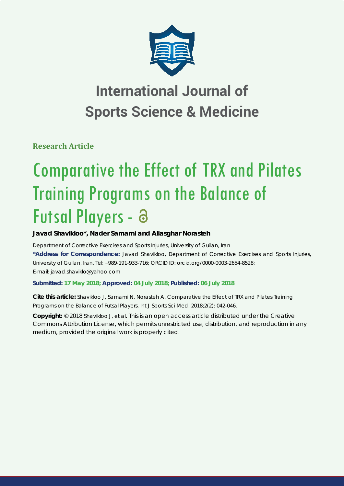

# **International Journal of Sports Science & Medicine**

**Research Article**

# Comparative the Effect of TRX and Pilates Training Programs on the Balance of Futsal Players - a

**Javad Shavikloo\*, Nader Samami and Aliasghar Norasteh**

*Department of Corrective Exercises and Sports Injuries, University of Guilan, Iran* **\*Address for Correspondence:** Javad Shavikloo, Department of Corrective Exercises and Sports Injuries, University of Guilan, Iran, Tel: +989-191-933-716; ORCID ID: orcid.org/0000-0003-2654-8528; E-mail: javad.shaviklo@yahoo.com

**Submitted: 17 May 2018; Approved: 04 July 2018; Published: 06 July 2018**

**Cite this article:** Shavikloo J, Samami N, Norasteh A. Comparative the Effect of TRX and Pilates Training Programs on the Balance of Futsal Players. Int J Sports Sci Med. 2018;2(2): 042-046.

**Copyright:** © 2018 Shavikloo J, et al. This is an open access article distributed under the Creative Commons Attribution License, which permits unrestricted use, distribution, and reproduction in any medium, provided the original work is properly cited.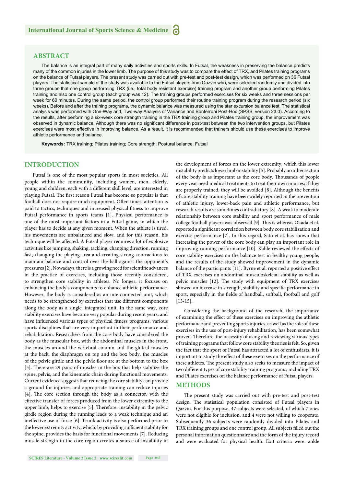### **ABSTRACT**

The balance is an integral part of many daily activities and sports skills. In Futsal, the weakness in preserving the balance predicts many of the common injuries in the lower limb. The purpose of this study was to compare the effect of TRX, and Pilates training programs on the balance of Futsal players. The present study was carried out with pre-test and post-test design, which was performed on 36 Futsal players. The statistical sample of the study was available to the Futsal players from Qazvin who, were selected randomly and divided into three groups that one group performing TRX (i.e., total body resistant exercise) training program and another group performing Pilates training and also one control group (each group was 12). The training groups performed exercises for six weeks and three sessions per week for 60 minutes. During the same period, the control group performed their routine training program during the research period (six weeks). Before and after the training programs, the dynamic balance was measured using the star excursion balance test. The statistical analysis was performed with One-Way and, Two-way Analysis of Variance and Bonferroni Post-Hoc (SPSS, version 23.0). According to the results, after performing a six-week core strength training in the TRX training group and Pilates training group, the improvement was observed in dynamic balance. Although there was no significant difference in post-test between the two intervention groups, but Pilates exercises were most effective in improving balance. As a result, it is recommended that trainers should use these exercises to improve athletic performance and balance.

**Keywords:** TRX training; Pilates training; Core strength; Postural balance; Futsal

# **INTRODUCTION**

Futsal is one of the most popular sports in most societies. All people within the community, including women, men, elderly, young and children, each with a different skill level, are interested in playing Futsal. The first reason Futsal has become so popular is that football does not require much equipment. Often times, attention is paid to tactics, techniques and increased physical fitness to improve Futsal performance in sports teams [1]. Physical performance is one of the most important factors in a Futsal game, in which the player has to decide at any given moment. When the athlete is tired, his movements are unbalanced and slow, and for this reason, his technique will be affected. A Futsal player requires a lot of explosive activities like jumping, shaking, tackling, changing direction, running fast, changing the playing area and creating strong contractions to maintain balance and control over the ball against the opponent's pressures [2]. Nowadays, there is a growing need for scientific advances in the practice of exercises, including those recently considered, to strengthen core stability in athletes. No longer, it focuses on enhancing the body's components to enhance athletic performance. However, the body is considered as an interconnected unit, which needs to be strengthened by exercises that use different components along the body as a single, integrated unit. In the same way, core stability exercises have become very popular during recent years, and have influenced various types of physical fitness programs, various sports disciplines that are very important in their performance and rehabilitation. Researchers from the core body have considered the body as the muscular box, with the abdominal muscles in the front, the muscles around the vertebral column and the gluteal muscles at the back, the diaphragm on top and the box body, the muscles of the pelvic girdle and the pelvic floor are at the bottom to the box [3]. There are 29 pairs of muscles in the box that help stabilize the spine, pelvis, and the kinematic chain during functional movements. Current evidence suggests that reducing the core stability can provide a ground for injuries, and appropriate training can reduce injuries [4]. The core section through the body as a connector, with the effective transfer of forces produced from the lower extremity to the upper limb, helps to exercise [5]. Therefore, instability in the pelvic girdle region during the running leads to a weak technique and an ineffective use of force [6]. Trunk activity is also performed prior to the lower extremity activity, which, by providing sufficient stability for the spine, provides the basis for functional movements [7]. Reducing muscle strength in the core region creates a source of instability in the development of forces on the lower extremity, which this lower instability predicts lower limb instability [5]. Probably no other section of the body is as important as the core body. Thousands of people every year need medical treatments to treat their own injuries; if they are properly trained, they will be avoided [8]. Although the benefits of core stability training have been widely reported in the prevention of athletic injury, lower-back pain and athletic performance, but research results are sometimes contradictory [8]. A weak to moderate relationship between core stability and sport performance of male college football players was observed [9]. This is whereas Okada et al. reported a significant correlation between body core stabilization and exercise performance [7]. In this regard, Sato et al. has shown that increasing the power of the core body can play an important role in improving running performance [10]. Kahle reviewed the effects of core stability exercises on the balance test in healthy young people, and the results of the study showed improvement in the dynamic balance of the participants [11]. Byrne et al. reported a positive effect of TRX exercises on abdominal musculoskeletal stability as well as pelvic muscles [12]. The study with equipment of TRX exercises showed an increase in strength, stability and specific performance in sport, especially in the fields of handball, softball, football and golf [13-15].

Considering the background of the research, the importance of examining the effect of these exercises on improving the athletic performance and preventing sports injuries, as well as the role of these exercises in the use of post-injury rehabilitation, has been somewhat proven. Therefore, the necessity of using and reviewing various types of training programs that follow core stability theories is felt. So, given the fact that the sport of Futsal has attracted a lot of enthusiasts, it is important to study the effect of these exercises on the performance of these athletes. The present study also seeks to measure the impact of two different types of core stability training programs, including TRX and Pilates exercises on the balance performance of Futsal players.

#### **METHODS**

The present study was carried out with pre-test and post-test design. The statistical population consisted of Futsal players in Qazvin. For this purpose, 47 subjects were selected, of which 7 ones were not eligible for inclusion, and 4 were not willing to cooperate, Subsequently 36 subjects were randomly divided into Pilates and TRX training groups and one control group. All subjects filled out the personal information questionnaire and the form of the injury record and were evaluated for physical health. Exit criteria were: ankle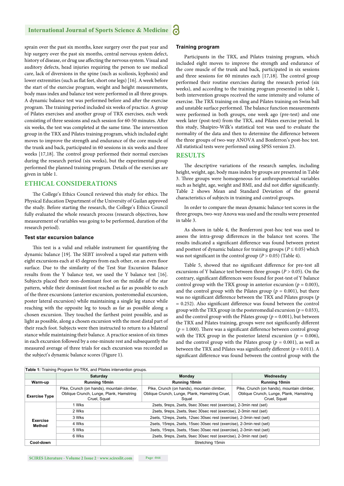# **International Journal of Sports Science & Medicine**

sprain over the past six months, knee surgery over the past year and hip surgery over the past six months, central nervous system defect, history of disease, or drug use affecting the nervous system. Visual and auditory defects, head injuries requiring the person to use medical care, lack of diversions in the spine (such as scoliosis, kyphosis) and lower extremities (such as flat feet, short one legs) [16]. A week before the start of the exercise program, weight and height measurements, body mass index and balance test were performed in all three groups. A dynamic balance test was performed before and after the exercise program. The training period included six weeks of practice. A group of Pilates exercises and another group of TRX exercises, each week consisting of three sessions and each session for 60-50 minutes. After six weeks, the test was completed at the same time. The intervention group in the TRX and Pilates training program, which included eight moves to improve the strength and endurance of the core muscle of the trunk and back, participated in 60 sessions in six weeks and three weeks [17,18]. The control group performed their normal exercises during the research period (six weeks), but the experimental group performed the planned training program. Details of the exercises are given in table 1.

#### **ETHICAL CONSIDERATIONS**

The College's Ethics Council reviewed this study for ethics. The Physical Education Department of the University of Guilan approved the study. Before starting the research, the College's Ethics Council fully evaluated the whole research process (research objectives, how measurement of variables was going to be performed, duration of the research period).

#### **Test star excursion balance**

This test is a valid and reliable instrument for quantifying the dynamic balance [19]. The SEBT involved a taped star pattern with eight excursions each at 45 degrees from each other, on an even floor surface. Due to the similarity of the Test Star Excursion Balance results from the Y balance test, we used the Y balance test [16]. Subjects placed their non-dominant foot on the middle of the star pattern, while their dominant foot reached as far as possible to each of the three excursions (anterior excursion, posteromedial excursion, poster lateral excursion) while maintaining a single leg stance while reaching with the opposite leg to touch as far as possible along a chosen excursion. They touched the farthest point possible, and as light as possible, along a chosen excursion with the most distal part of their reach foot. Subjects were then instructed to return to a bilateral stance while maintaining their balance. A practice session of six times in each excursion followed by a one-minute rest and subsequently the measured average of three trials for each excursion was recorded as the subject's dynamic balance scores (Figure 1).

#### **Training program**

Participants in the TRX, and Pilates training program, which included eight moves to improve the strength and endurance of the core muscle of the trunk and back, participated in six sessions and three sessions for 60 minutes each  $[17,18]$ . The control group performed their routine exercises during the research period (six weeks), and according to the training program presented in table 1, both intervention groups received the same intensity and volume of exercise. The TRX training on sling and Pilates training on Swiss ball and unstable surface performed. The balance function measurements were performed in both groups, one week ago (pre-test) and one week later (post-test) from the TRX, and Pilates exercise period. In this study, Shaipiro-Wilk's statistical test was used to evaluate the normality of the data and then to determine the difference between the three groups of two-way ANOVA and Bonferron's post-hoc test. All statistical tests were performed using SPSS version 23.

#### **RESULTS**

The descriptive variations of the research samples, including height, weight, age, body mass index by groups are presented in Table 3. Three groups were homogeneous for anthropometrical variables such as height, age, weight and BMI, and did not differ significantly. Table 2 shows Mean and Standard Deviation of the general characteristics of subjects in training and control groups.

In order to compare the mean dynamic balance test scores in the three groups, two-way Anova was used and the results were presented in table 3.

As shown in table 4, the Bonferroni post-hoc test was used to assess the intra-group differences in the balance test scores. The results indicated a significant difference was found between pretest and posttest of dynamic balance for training groups ( $P \le 0.05$ ) which was not significant in the control group  $(P > 0.05)$  (Table 4).

Table 5, showed that no significant difference for pre-test all excursions of Y balance test between three groups (*P* > 0.05). On the contrary, significant differences were found for post-test of Y balance control group with the TRX group in anterior excursion ( $p = 0.003$ ), and the control group with the Pilates group ( $p = 0.001$ ), but there was no significant difference between the TRX and Pilates groups (p  $= 0.252$ ). Also significant difference was found between the control group with the TRX group in the posteromedial excursion ( $p = 0.033$ ), and the control group with the Pilates group ( $p = 0.001$ ), but between the TRX and Pilates training, groups were not significantly different ( $p = 1.000$ ). There was a significant difference between control group with the TRX group in the posterior lateral excursion ( $p = 0.006$ ), and the control group with the Pilates group ( $p = 0.001$ ), as well as between the TRX and Pilates was significantly different ( $p = 0.011$ ). A significant difference was found between the control group with the

| Table 1: Training Program for TRX, and Pilates intervention groups. |                                                                                                       |                                                                        |                                                                                                       |                                                                                                       |  |  |  |
|---------------------------------------------------------------------|-------------------------------------------------------------------------------------------------------|------------------------------------------------------------------------|-------------------------------------------------------------------------------------------------------|-------------------------------------------------------------------------------------------------------|--|--|--|
|                                                                     | Saturday                                                                                              |                                                                        | <b>Monday</b>                                                                                         | Wednesday                                                                                             |  |  |  |
| Warm-up                                                             | <b>Running 10min</b>                                                                                  |                                                                        | <b>Running 10min</b>                                                                                  | <b>Running 10min</b>                                                                                  |  |  |  |
| <b>Exercise Type</b>                                                | Pike, Crunch (on hands), mountain climber,<br>Oblique Crunch, Lunge, Plank, Hamstring<br>Cruel, Squat |                                                                        | Pike, Crunch (on hands), mountain climber,<br>Oblique Crunch, Lunge, Plank, Hamstring Cruel,<br>Squat | Pike, Crunch (on hands), mountain climber,<br>Oblique Crunch, Lunge, Plank, Hamstring<br>Cruel, Squat |  |  |  |
|                                                                     | 1 Wks                                                                                                 | 2sets, 9reps, 2sets, 9sec 30sec rest (exercise), 2-3min rest (set)     |                                                                                                       |                                                                                                       |  |  |  |
|                                                                     | 2 Wks                                                                                                 |                                                                        | 2sets, 9reps, 2sets, 9sec 30sec rest (exercise), 2-3min rest (set)                                    |                                                                                                       |  |  |  |
| <b>Exercise</b><br>Method                                           | 3 Wks                                                                                                 |                                                                        | 2sets, 12reps, 2sets, 12sec 30sec rest (exercise), 2-3min rest (set)                                  |                                                                                                       |  |  |  |
|                                                                     | 4 Wks                                                                                                 | 2sets, 15reps, 2sets, 15sec 30sec rest (exercise), 2-3min rest (set)   |                                                                                                       |                                                                                                       |  |  |  |
|                                                                     | 5 Wks                                                                                                 | 3sets, 15 reps, 3sets, 15sec 30sec rest (exercise), 2-3 min rest (set) |                                                                                                       |                                                                                                       |  |  |  |
|                                                                     | 6 Wks                                                                                                 | 2sets, 9reps, 2sets, 9sec 30sec rest (exercise), 2-3min rest (set)     |                                                                                                       |                                                                                                       |  |  |  |
| Cool-down                                                           |                                                                                                       | Stretching 15min                                                       |                                                                                                       |                                                                                                       |  |  |  |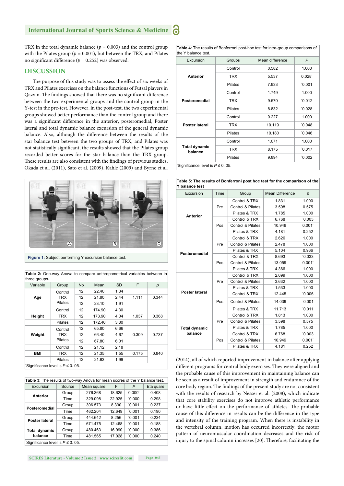# **International Journal of Sports Science & Medicine**

TRX in the total dynamic balance  $(p = 0.003)$  and the control group with the Pilates group ( $p = 0.001$ ), but between the TRX, and Pilates no significant difference ( $p = 0.252$ ) was observed.

#### **DISCUSSION**

The purpose of this study was to assess the effect of six weeks of TRX and Pilates exercises on the balance functions of Futsal players in Qazvin. The findings showed that there was no significant difference between the two experimental groups and the control group in the Y-test in the pre-test. However, in the post-test, the two experimental groups showed better performance than the control group and there was a significant difference in the anterior, posteromedial, Poster lateral and total dynamic balance excursion of the general dynamic balance. Also, although the difference between the results of the star balance test between the two groups of TRX, and Pilates was not statistically significant, the results showed that the Pilates group recorded better scores for the star balance than the TRX group. These results are also consistent with the findings of previous studies, Okada et al. (2011), Sato et al. (2009), Kahle (2009) and Byrne et al.



**Figure 1:** Subject performing Y excursion balance test.

| ulice giuups.                            |                |           |        |           |       |       |
|------------------------------------------|----------------|-----------|--------|-----------|-------|-------|
| Variable                                 | Group          | <b>No</b> | Mean   | <b>SD</b> | F     | р     |
|                                          | Control        | 12        | 22.40  | 1.34      |       |       |
| Age                                      | TRX<br>Pilates | 12        | 21.80  | 2.44      | 1.111 | 0.344 |
|                                          |                | 12        | 23.10  | 1.91      |       |       |
|                                          | Control        | 12        | 174.90 | 4.30      |       |       |
| Height                                   | <b>TRX</b>     | 12        | 173.90 | 4.04      | 1.037 | 0.368 |
|                                          | <b>Pilates</b> | 12        | 172.40 | 3.30      |       |       |
|                                          | Control        | 12        | 65.80  | 6.66      |       |       |
| Weight                                   | TRX<br>Pilates | 12        | 66.40  | 4.67      | 0.309 | 0.737 |
|                                          |                | 12        | 67.80  | 6.01      |       |       |
|                                          | Control        | 12        | 21.12  | 2.18      |       |       |
| <b>BMI</b>                               | <b>TRX</b>     | 12        | 21.35  | 1.55      | 0.175 | 0.840 |
|                                          | Pilates        | 12        | 21.63  | 1.99      |       |       |
| $^{\circ}$ Cianificance level is $D < 0$ |                |           |        |           |       |       |

**Table 2:** One-way Anova to compare anthropometrical variables between in three groups**.**

Significance level is *P* ≤ 0.05.

| <b>Table 3:</b> The results of two-way Anova for mean scores of the Y balance test. |        |             |        |                 |           |  |
|-------------------------------------------------------------------------------------|--------|-------------|--------|-----------------|-----------|--|
| Excursion                                                                           | Source | Mean square | F      | P               | Eta quare |  |
| Anterior                                                                            | Group  | 276.368     | 18.625 | $0.000^{\circ}$ | 0.408     |  |
|                                                                                     | Time   | 329.098     | 22.925 | 0.000           | 0.298     |  |
| Posteromedial                                                                       | Group  | 306.573     | 8.390  | 0.001           | 0.237     |  |
|                                                                                     | Time   | 462.204     | 12.649 | 0.001           | 0.190     |  |
| Poster lateral                                                                      | Group  | 444.642     | 8.256  | 0.001           | 0.234     |  |
|                                                                                     | Time   | 671.475     | 12.468 | 0.001           | 0.188     |  |
| <b>Total dynamic</b>                                                                | Group  | 480.463     | 16.990 | 0.000           | 0.386     |  |
| balance                                                                             | Time   | 481.565     | 17.028 | 0.000           | 0.240     |  |
| Significance level is $P \le 0$ . 05.                                               |        |             |        |                 |           |  |

**SCIRES Literature - Volume 2 Issue 2 - www.scireslit.com Page -045**

**Table 4**: The results of Bonferroni post-hoc test for intra-group comparisons of the Y balance test.

| Excursion                             | Groups     | Mean difference | $\mathsf{P}$ |  |  |
|---------------------------------------|------------|-----------------|--------------|--|--|
|                                       | Control    | 0.582           | 1.000        |  |  |
| <b>Anterior</b>                       | <b>TRX</b> | 5.537           | $0.028^{*}$  |  |  |
|                                       | Pilates    | 7.933           | 0.001        |  |  |
|                                       | Control    | 1.749           | 1.000        |  |  |
| Posteromedial                         | <b>TRX</b> | 9.570           | 0.012        |  |  |
|                                       | Pilates    | 8.832           | 0.028        |  |  |
|                                       | Control    | 0.227           | 1.000        |  |  |
| Poster lateral                        | <b>TRX</b> | 10.119          | 0.048        |  |  |
|                                       | Pilates    | 10.180          | 0.046        |  |  |
|                                       | Control    | 1.071           | 1.000        |  |  |
| <b>Total dynamic</b><br>balance       | <b>TRX</b> | 8.175           | 0.017        |  |  |
|                                       | Pilates    | 9.894           | 0.002        |  |  |
| Significance level is $P \le 0$ . 05. |            |                 |              |  |  |

**Table 5: The results of Bonferroni post hoc test for the comparison of the Y balance test**

| Excursion            | Time | Group             | <b>Mean Difference</b> | $\boldsymbol{p}$  |
|----------------------|------|-------------------|------------------------|-------------------|
|                      |      | Control & TRX     | 1.831                  | 1.000             |
|                      | Pre  | Control & Pilates | 3.598                  | 0.575             |
|                      |      | Pilates & TRX     | 1.785                  | 1.000             |
| <b>Anterior</b>      |      | Control & TRX     | 6.768                  | 0.003             |
|                      | Pos  | Control & Pilates | 10.949                 | 0.001'            |
|                      |      | Pilates & TRX     | 4.181                  | 0.252             |
|                      |      | Control & TRX     | 2.626                  | 1.000             |
|                      | Pre  | Control & Pilates | 2.478                  | 1.000             |
| Posteromedial        |      | Pilates & TRX     | 5.104                  | 0.966             |
|                      |      | Control & TRX     | 8.693                  | 0.033             |
|                      | Pos  | Control & Pilates | 13.059                 | 0.001             |
|                      |      | Pilates & TRX     | 4.366                  | 1.000             |
|                      |      | Control & TRX     | 2.099                  | 1.000             |
|                      | Pre  | Control & Pilates | 3.632                  | 1.000             |
|                      |      | Pilates & TRX     | 1.533                  | 1.000             |
| Poster lateral       |      | Control & TRX     | 12.445                 | 0.006             |
|                      | Pos  | Control & Pilates | 14.039                 | 0.001             |
|                      |      | Pilates & TRX     | 11.713                 | 0.011             |
|                      |      | Control & TRX     | 1.813                  | 1.000             |
|                      | Pre  | Control & Pilates | 3.598                  | 0.575             |
| <b>Total dynamic</b> |      | Pilates & TRX     | 1.785                  | 1.000             |
| balance              |      | Control & TRX     | 6.768                  | 0.003             |
|                      | Pos  | Control & Pilates | 10.949                 | $0.001^{\degree}$ |
|                      |      | Pilates & TRX     | 4.181                  | 0.252             |

 $(2014)$ , all of which reported improvement in balance after applying different programs for central body exercises. They were aligned and the probable cause of this improvement in maintaining balance can be seen as a result of improvement in strength and endurance of the core body region. The findings of the present study are not consistent with the results of research by Nesser et al. (2008), which indicate that core stability exercises do not improve athletic performance or have little effect on the performance of athletes. The probable cause of this difference in results can be the difference in the type and intensity of the training program. When there is instability in the vertebral column, motion has occurred incorrectly, the motor pattern of neuromuscular coordination decreases and the risk of injury to the spinal column increases [20]. Therefore, facilitating the